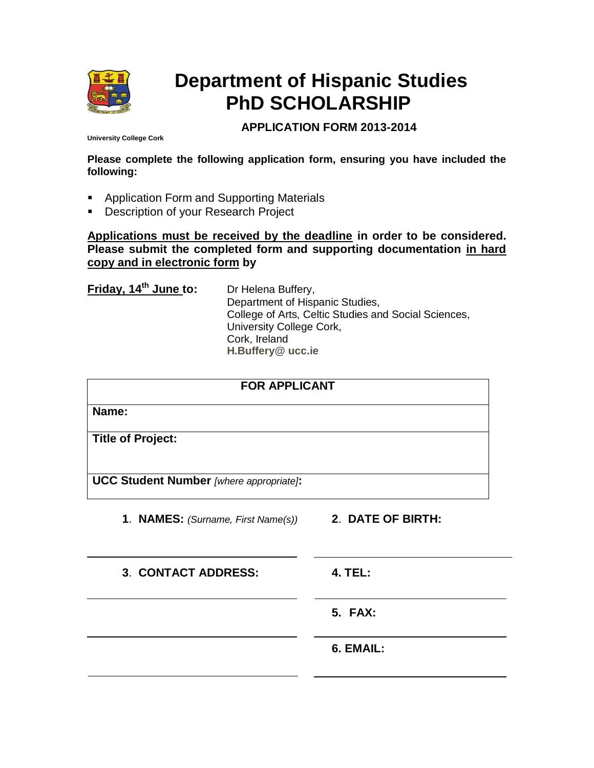

# **Department of Hispanic Studies PhD SCHOLARSHIP**

# **APPLICATION FORM 2013-2014**

**University College Cork**

**Please complete the following application form, ensuring you have included the following:**

- **Application Form and Supporting Materials**
- **Description of your Research Project**

**Applications must be received by the deadline in order to be considered. Please submit the completed form and supporting documentation in hard copy and in electronic form by** 

**Friday, 14th June to:** Dr Helena Buffery,

Department of Hispanic Studies, College of Arts, Celtic Studies and Social Sciences, University College Cork, Cork, Ireland **[H.Buffery@ ucc.ie](mailto:H.Buffery@%20ucc.ie)**

| <b>FOR APPLICANT</b>                                 |                |
|------------------------------------------------------|----------------|
| Name:                                                |                |
| <b>Title of Project:</b>                             |                |
| <b>UCC Student Number</b> [where appropriate]:       |                |
| 1. NAMES: (Surname, First Name(s)) 2. DATE OF BIRTH: |                |
| 3. CONTACT ADDRESS:                                  | <b>4. TEL:</b> |
|                                                      | <b>5. FAX:</b> |
|                                                      | 6. EMAIL:      |
|                                                      |                |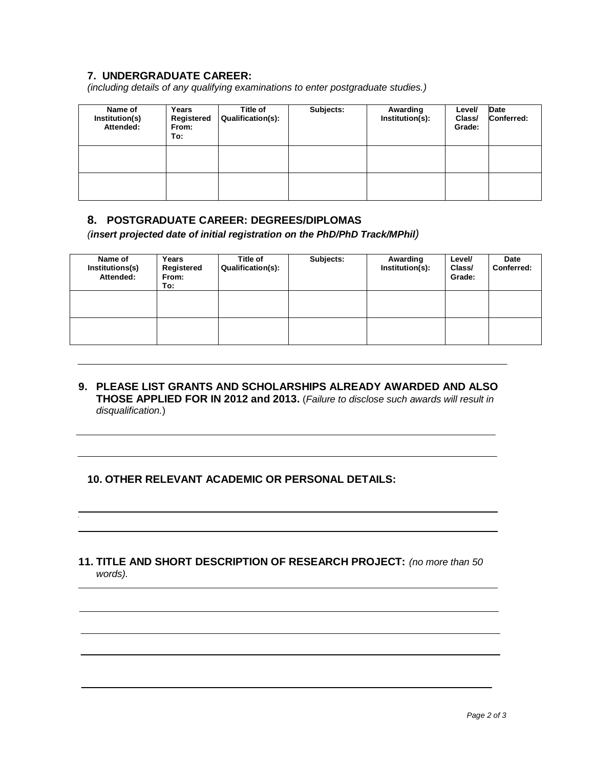## **7. UNDERGRADUATE CAREER:**

*(including details of any qualifying examinations to enter postgraduate studies.)*

| Name of<br>Institution(s)<br>Attended: | Years<br>Registered<br>From:<br>To: | Title of<br>Qualification(s): | Subjects: | Awarding<br>Institution(s): | Level/<br>Class/<br>Grade: | Date<br>Conferred: |
|----------------------------------------|-------------------------------------|-------------------------------|-----------|-----------------------------|----------------------------|--------------------|
|                                        |                                     |                               |           |                             |                            |                    |
|                                        |                                     |                               |           |                             |                            |                    |

#### **8. POSTGRADUATE CAREER: DEGREES/DIPLOMAS**

*(insert projected date of initial registration on the PhD/PhD Track/MPhil)*

| Name of<br>Institutions(s)<br>Attended: | Years<br>Registered<br>From:<br>To: | Title of<br><b>Qualification(s):</b> | Subjects: | Awarding<br>Institution(s): | Level/<br>Class/<br>Grade: | Date<br>Conferred: |
|-----------------------------------------|-------------------------------------|--------------------------------------|-----------|-----------------------------|----------------------------|--------------------|
|                                         |                                     |                                      |           |                             |                            |                    |
|                                         |                                     |                                      |           |                             |                            |                    |

#### **9. PLEASE LIST GRANTS AND SCHOLARSHIPS ALREADY AWARDED AND ALSO THOSE APPLIED FOR IN 2012 and 2013.** (*Failure to disclose such awards will result in disqualification.*)

### **10. OTHER RELEVANT ACADEMIC OR PERSONAL DETAILS:**

### **11. TITLE AND SHORT DESCRIPTION OF RESEARCH PROJECT:** *(no more than 50 words).*